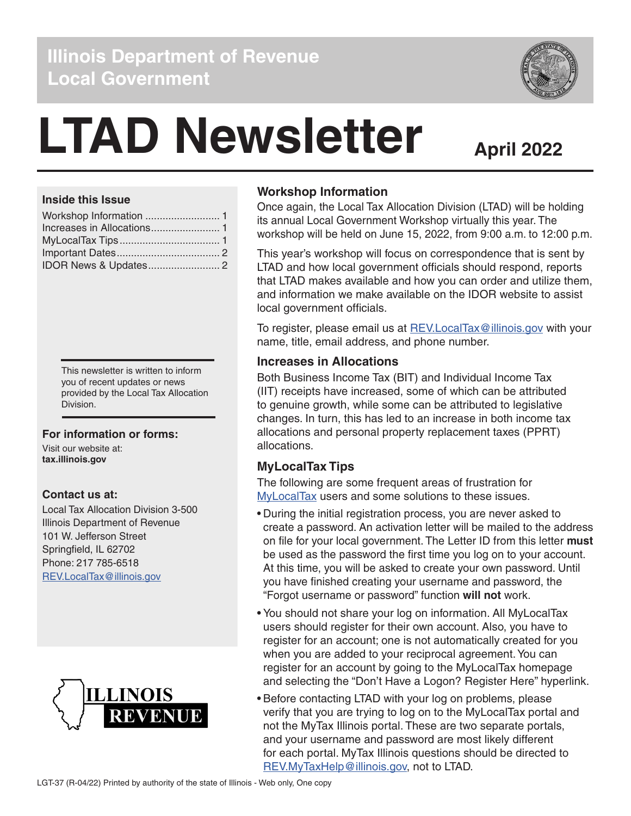### **Illinois Department of Revenue Local Government**

# **LTAD Newsletter**

## **April 2022**

#### **Inside this Issue**

This newsletter is written to inform you of recent updates or news provided by the Local Tax Allocation Division.

#### **For information or forms:**

Visit our website at: **tax.illinois.gov**

#### **Contact us at:**

Local Tax Allocation Division 3-500 Illinois Department of Revenue 101 W. Jefferson Street Springfield, IL 62702 Phone: 217 785-6518 [REV.LocalTax@illinois.gov](mailto:REV.LocalTax%40illinois.gov?subject=)



#### **Workshop Information**

Once again, the Local Tax Allocation Division (LTAD) will be holding its annual Local Government Workshop virtually this year. The workshop will be held on June 15, 2022, from 9:00 a.m. to 12:00 p.m.

This year's workshop will focus on correspondence that is sent by LTAD and how local government officials should respond, reports that LTAD makes available and how you can order and utilize them, and information we make available on the IDOR website to assist local government officials.

To register, please email us at [REV.LocalTax@illinois.gov](mailto:REV.LocalTax%40illinois.gov?subject=) with your name, title, email address, and phone number.

#### **Increases in Allocations**

Both Business Income Tax (BIT) and Individual Income Tax (IIT) receipts have increased, some of which can be attributed to genuine growth, while some can be attributed to legislative changes. In turn, this has led to an increase in both income tax allocations and personal property replacement taxes (PPRT) allocations.

#### **MyLocalTax Tips**

The following are some frequent areas of frustration for [MyLocalTax](https://mytax.illinois.gov/MyLocalTax/_/) users and some solutions to these issues.

- During the initial registration process, you are never asked to create a password. An activation letter will be mailed to the address on file for your local government. The Letter ID from this letter **must** be used as the password the first time you log on to your account. At this time, you will be asked to create your own password. Until you have finished creating your username and password, the "Forgot username or password" function **will not** work.
- You should not share your log on information. All MyLocalTax users should register for their own account. Also, you have to register for an account; one is not automatically created for you when you are added to your reciprocal agreement. You can register for an account by going to the MyLocalTax homepage and selecting the "Don't Have a Logon? Register Here" hyperlink.
- Before contacting LTAD with your log on problems, please verify that you are trying to log on to the MyLocalTax portal and not the MyTax Illinois portal. These are two separate portals, and your username and password are most likely different for each portal. MyTax Illinois questions should be directed to [REV.MyTaxHelp@illinois.gov,](mailto:REV.MyTaxHelp%40illinois.gov?subject=) not to LTAD.